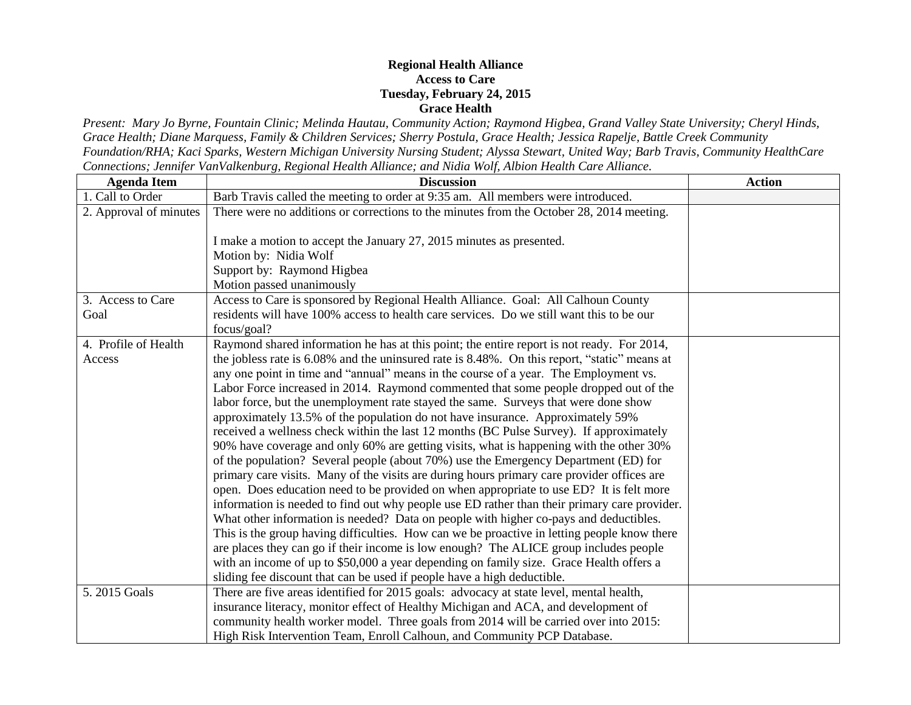## **Regional Health Alliance Access to Care Tuesday, February 24, 2015 Grace Health**

*Present: Mary Jo Byrne, Fountain Clinic; Melinda Hautau, Community Action; Raymond Higbea, Grand Valley State University; Cheryl Hinds, Grace Health; Diane Marquess, Family & Children Services; Sherry Postula, Grace Health; Jessica Rapelje, Battle Creek Community Foundation/RHA; Kaci Sparks, Western Michigan University Nursing Student; Alyssa Stewart, United Way; Barb Travis, Community HealthCare Connections; Jennifer VanValkenburg, Regional Health Alliance; and Nidia Wolf, Albion Health Care Alliance.*

| <b>Agenda Item</b>     | <b>Discussion</b>                                                                            | <b>Action</b> |
|------------------------|----------------------------------------------------------------------------------------------|---------------|
| 1. Call to Order       | Barb Travis called the meeting to order at 9:35 am. All members were introduced.             |               |
| 2. Approval of minutes | There were no additions or corrections to the minutes from the October 28, 2014 meeting.     |               |
|                        | I make a motion to accept the January 27, 2015 minutes as presented.                         |               |
|                        | Motion by: Nidia Wolf                                                                        |               |
|                        | Support by: Raymond Higbea                                                                   |               |
|                        | Motion passed unanimously                                                                    |               |
| 3. Access to Care      | Access to Care is sponsored by Regional Health Alliance. Goal: All Calhoun County            |               |
| Goal                   | residents will have 100% access to health care services. Do we still want this to be our     |               |
|                        | focus/goal?                                                                                  |               |
| 4. Profile of Health   | Raymond shared information he has at this point; the entire report is not ready. For 2014,   |               |
| Access                 | the jobless rate is 6.08% and the uninsured rate is 8.48%. On this report, "static" means at |               |
|                        | any one point in time and "annual" means in the course of a year. The Employment vs.         |               |
|                        | Labor Force increased in 2014. Raymond commented that some people dropped out of the         |               |
|                        | labor force, but the unemployment rate stayed the same. Surveys that were done show          |               |
|                        | approximately 13.5% of the population do not have insurance. Approximately 59%               |               |
|                        | received a wellness check within the last 12 months (BC Pulse Survey). If approximately      |               |
|                        | 90% have coverage and only 60% are getting visits, what is happening with the other 30%      |               |
|                        | of the population? Several people (about 70%) use the Emergency Department (ED) for          |               |
|                        | primary care visits. Many of the visits are during hours primary care provider offices are   |               |
|                        | open. Does education need to be provided on when appropriate to use ED? It is felt more      |               |
|                        | information is needed to find out why people use ED rather than their primary care provider. |               |
|                        | What other information is needed? Data on people with higher co-pays and deductibles.        |               |
|                        | This is the group having difficulties. How can we be proactive in letting people know there  |               |
|                        | are places they can go if their income is low enough? The ALICE group includes people        |               |
|                        | with an income of up to \$50,000 a year depending on family size. Grace Health offers a      |               |
|                        | sliding fee discount that can be used if people have a high deductible.                      |               |
| 5.2015 Goals           | There are five areas identified for 2015 goals: advocacy at state level, mental health,      |               |
|                        | insurance literacy, monitor effect of Healthy Michigan and ACA, and development of           |               |
|                        | community health worker model. Three goals from 2014 will be carried over into 2015:         |               |
|                        | High Risk Intervention Team, Enroll Calhoun, and Community PCP Database.                     |               |